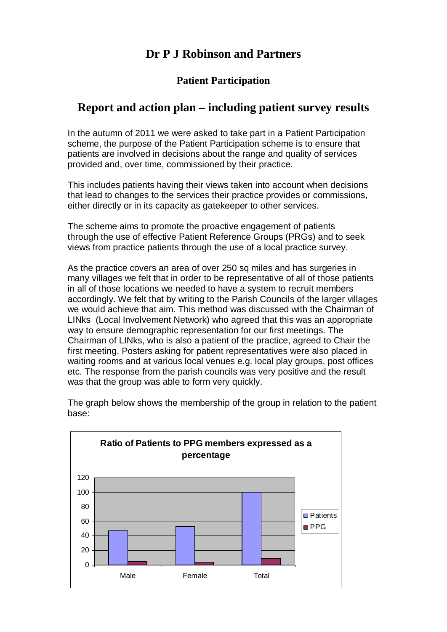# **Dr P J Robinson and Partners**

### **Patient Participation**

# **Report and action plan – including patient survey results**

In the autumn of 2011 we were asked to take part in a Patient Participation scheme, the purpose of the Patient Participation scheme is to ensure that patients are involved in decisions about the range and quality of services provided and, over time, commissioned by their practice.

This includes patients having their views taken into account when decisions that lead to changes to the services their practice provides or commissions, either directly or in its capacity as gatekeeper to other services.

The scheme aims to promote the proactive engagement of patients through the use of effective Patient Reference Groups (PRGs) and to seek views from practice patients through the use of a local practice survey.

As the practice covers an area of over 250 sq miles and has surgeries in many villages we felt that in order to be representative of all of those patients in all of those locations we needed to have a system to recruit members accordingly. We felt that by writing to the Parish Councils of the larger villages we would achieve that aim. This method was discussed with the Chairman of LINks (Local Involvement Network) who agreed that this was an appropriate way to ensure demographic representation for our first meetings. The Chairman of LINks, who is also a patient of the practice, agreed to Chair the first meeting. Posters asking for patient representatives were also placed in waiting rooms and at various local venues e.g. local play groups, post offices etc. The response from the parish councils was very positive and the result was that the group was able to form very quickly.



The graph below shows the membership of the group in relation to the patient base: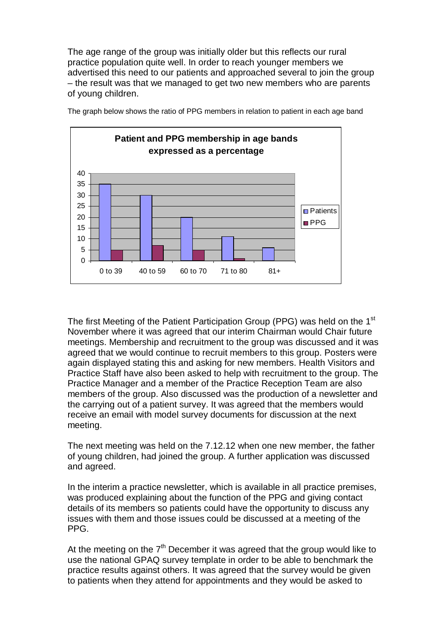The age range of the group was initially older but this reflects our rural practice population quite well. In order to reach younger members we advertised this need to our patients and approached several to join the group – the result was that we managed to get two new members who are parents of young children.



The graph below shows the ratio of PPG members in relation to patient in each age band

The first Meeting of the Patient Participation Group (PPG) was held on the 1<sup>st</sup> November where it was agreed that our interim Chairman would Chair future meetings. Membership and recruitment to the group was discussed and it was agreed that we would continue to recruit members to this group. Posters were again displayed stating this and asking for new members. Health Visitors and Practice Staff have also been asked to help with recruitment to the group. The Practice Manager and a member of the Practice Reception Team are also members of the group. Also discussed was the production of a newsletter and the carrying out of a patient survey. It was agreed that the members would receive an email with model survey documents for discussion at the next meeting.

The next meeting was held on the 7.12.12 when one new member, the father of young children, had joined the group. A further application was discussed and agreed.

In the interim a practice newsletter, which is available in all practice premises, was produced explaining about the function of the PPG and giving contact details of its members so patients could have the opportunity to discuss any issues with them and those issues could be discussed at a meeting of the PPG.

At the meeting on the 7<sup>th</sup> December it was agreed that the group would like to use the national GPAQ survey template in order to be able to benchmark the practice results against others. It was agreed that the survey would be given to patients when they attend for appointments and they would be asked to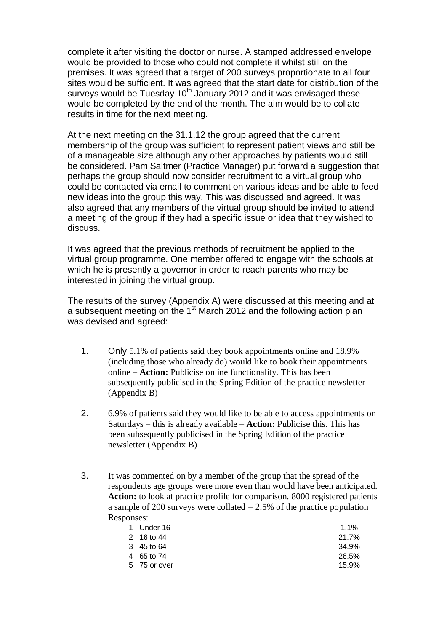complete it after visiting the doctor or nurse. A stamped addressed envelope would be provided to those who could not complete it whilst still on the premises. It was agreed that a target of 200 surveys proportionate to all four sites would be sufficient. It was agreed that the start date for distribution of the surveys would be Tuesday 10<sup>th</sup> January 2012 and it was envisaged these would be completed by the end of the month. The aim would be to collate results in time for the next meeting.

At the next meeting on the 31.1.12 the group agreed that the current membership of the group was sufficient to represent patient views and still be of a manageable size although any other approaches by patients would still be considered. Pam Saltmer (Practice Manager) put forward a suggestion that perhaps the group should now consider recruitment to a virtual group who could be contacted via email to comment on various ideas and be able to feed new ideas into the group this way. This was discussed and agreed. It was also agreed that any members of the virtual group should be invited to attend a meeting of the group if they had a specific issue or idea that they wished to discuss.

It was agreed that the previous methods of recruitment be applied to the virtual group programme. One member offered to engage with the schools at which he is presently a governor in order to reach parents who may be interested in joining the virtual group.

The results of the survey (Appendix A) were discussed at this meeting and at a subsequent meeting on the 1<sup>st</sup> March 2012 and the following action plan was devised and agreed:

- 1. Only 5.1% of patients said they book appointments online and 18.9% (including those who already do) would like to book their appointments online – **Action:** Publicise online functionality. This has been subsequently publicised in the Spring Edition of the practice newsletter (Appendix B)
- 2. 6.9% of patients said they would like to be able to access appointments on Saturdays – this is already available – **Action:** Publicise this. This has been subsequently publicised in the Spring Edition of the practice newsletter (Appendix B)
- 3. It was commented on by a member of the group that the spread of the respondents age groups were more even than would have been anticipated. **Action:** to look at practice profile for comparison. 8000 registered patients a sample of 200 surveys were collated  $= 2.5\%$  of the practice population Responses:

| 1 Under 16   | $1.1\%$ |
|--------------|---------|
| 2 16 to 44   | 21.7%   |
| 3 45 to 64   | 34.9%   |
| 4 65 to 74   | 26.5%   |
| 5 75 or over | 15.9%   |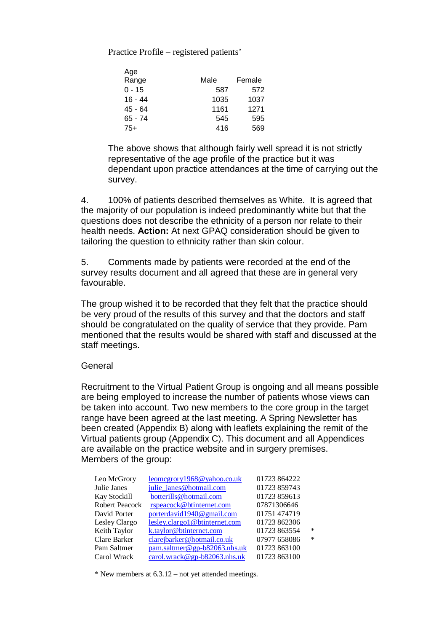Practice Profile – registered patients'

| Age       |      |        |
|-----------|------|--------|
| Range     | Male | Female |
| $0 - 15$  | 587  | 572    |
| 16 - 44   | 1035 | 1037   |
| 45 - 64   | 1161 | 1271   |
| $65 - 74$ | 545  | 595    |
| 75+       | 416  | 569    |

The above shows that although fairly well spread it is not strictly representative of the age profile of the practice but it was dependant upon practice attendances at the time of carrying out the survey.

4. 100% of patients described themselves as White. It is agreed that the majority of our population is indeed predominantly white but that the questions does not describe the ethnicity of a person nor relate to their health needs. **Action:** At next GPAQ consideration should be given to tailoring the question to ethnicity rather than skin colour.

5. Comments made by patients were recorded at the end of the survey results document and all agreed that these are in general very favourable.

The group wished it to be recorded that they felt that the practice should be very proud of the results of this survey and that the doctors and staff should be congratulated on the quality of service that they provide. Pam mentioned that the results would be shared with staff and discussed at the staff meetings.

### **General**

Recruitment to the Virtual Patient Group is ongoing and all means possible are being employed to increase the number of patients whose views can be taken into account. Two new members to the core group in the target range have been agreed at the last meeting. A Spring Newsletter has been created (Appendix B) along with leaflets explaining the remit of the Virtual patients group (Appendix C). This document and all Appendices are available on the practice website and in surgery premises. Members of the group:

| Leo McGrory    | leomcgrory1968@yahoo.co.uk     | 01723 864222 |        |
|----------------|--------------------------------|--------------|--------|
| Julie Janes    | julie_janes@hotmail.com        | 01723 859743 |        |
| Kay Stockill   | botterills@hotmail.com         | 01723 859613 |        |
| Robert Peacock | rspeacock@btinternet.com       | 07871306646  |        |
| David Porter   | porterdavid1940@gmail.com      | 01751 474719 |        |
| Lesley Clargo  | lesley.clargo1@btinternet.com  | 01723 862306 |        |
| Keith Taylor   | k.taylor@btinternet.com        | 01723 863554 | $\ast$ |
| Clare Barker   | clarejbarker@hotmail.co.uk     | 07977 658086 | $\ast$ |
| Pam Saltmer    | $pam.saltmer@gp-b82063.nhs.uk$ | 01723 863100 |        |
| Carol Wrack    | carol.wrack@gp-b82063.nhs.uk   | 01723 863100 |        |
|                |                                |              |        |

\* New members at 6.3.12 – not yet attended meetings.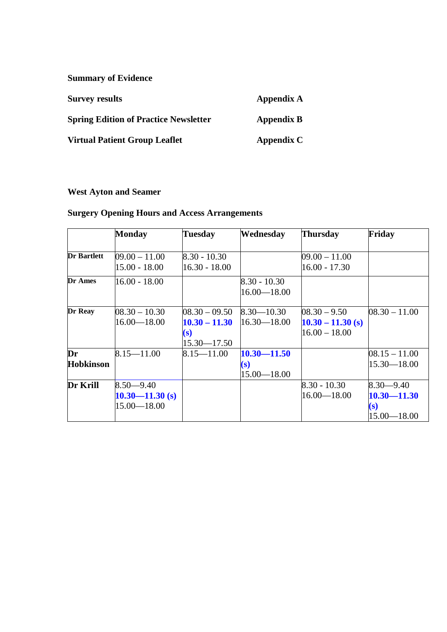**Summary of Evidence**

| <b>Survey results</b>                        | Appendix A        |
|----------------------------------------------|-------------------|
| <b>Spring Edition of Practice Newsletter</b> | <b>Appendix B</b> |
| <b>Virtual Patient Group Leaflet</b>         | Appendix C        |

## **West Ayton and Seamer**

## **Surgery Opening Hours and Access Arrangements**

|                  | <b>Monday</b>       | <b>Tuesday</b>  | Wednesday       | <b>Thursday</b>     | Friday          |
|------------------|---------------------|-----------------|-----------------|---------------------|-----------------|
|                  |                     |                 |                 |                     |                 |
| Dr Bartlett      | $09.00 - 11.00$     | $8.30 - 10.30$  |                 | $09.00 - 11.00$     |                 |
|                  | $15.00 - 18.00$     | $16.30 - 18.00$ |                 | $16.00 - 17.30$     |                 |
| Dr Ames          | $16.00 - 18.00$     |                 | $8.30 - 10.30$  |                     |                 |
|                  |                     |                 | $16.00 - 18.00$ |                     |                 |
| Dr Reay          | $08.30 - 10.30$     | $08.30 - 09.50$ | $8.30 - 10.30$  | $08.30 - 9.50$      | $08.30 - 11.00$ |
|                  | $16.00 - 18.00$     | $10.30 - 11.30$ | $16.30 - 18.00$ | $10.30 - 11.30$ (s) |                 |
|                  |                     | (s)             |                 | $16.00 - 18.00$     |                 |
|                  |                     | $15.30 - 17.50$ |                 |                     |                 |
| Dr               | $8.15 - 11.00$      | $8.15 - 11.00$  | $10.30 - 11.50$ |                     | $08.15 - 11.00$ |
| <b>Hobkinson</b> |                     |                 | (s)             |                     | $15.30 - 18.00$ |
|                  |                     |                 | $15.00 - 18.00$ |                     |                 |
| Dr Krill         | $8.50 - 9.40$       |                 |                 | $8.30 - 10.30$      | $8.30 - 9.40$   |
|                  | $10.30 - 11.30$ (s) |                 |                 | $16.00 - 18.00$     | $10.30 - 11.30$ |
|                  | $15.00 - 18.00$     |                 |                 |                     | (s)             |
|                  |                     |                 |                 |                     | $15.00 - 18.00$ |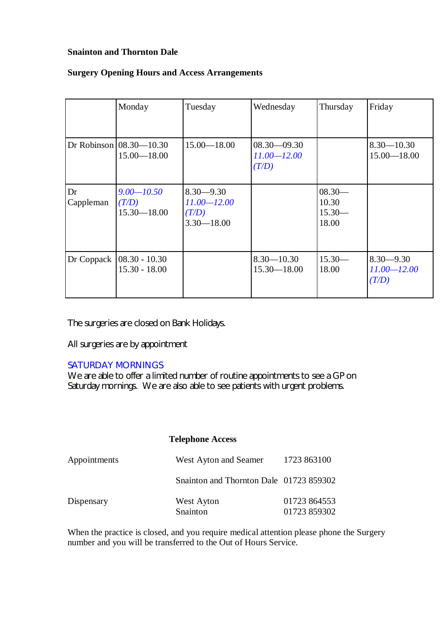#### **Snainton and Thornton Dale**

#### **Surgery Opening Hours and Access Arrangements**

|                 | Monday                                           | Tuesday                                                     | Wednesday                                   | Thursday                               | Friday                                    |
|-----------------|--------------------------------------------------|-------------------------------------------------------------|---------------------------------------------|----------------------------------------|-------------------------------------------|
|                 | Dr Robinson $(08.30 - 10.30)$<br>$15.00 - 18.00$ | $15.00 - 18.00$                                             | $08.30 - 09.30$<br>$11.00 - 12.00$<br>(T/D) |                                        | $8.30 - 10.30$<br>$15.00 - 18.00$         |
| Dr<br>Cappleman | $9.00 - 10.50$<br>(T/D)<br>$15.30 - 18.00$       | $8.30 - 9.30$<br>$11.00 - 12.00$<br>(T/D)<br>$3.30 - 18.00$ |                                             | $08.30-$<br>10.30<br>$15.30-$<br>18.00 |                                           |
| Dr Coppack      | $08.30 - 10.30$<br>$15.30 - 18.00$               |                                                             | $8.30 - 10.30$<br>$15.30 - 18.00$           | $15.30-$<br>18.00                      | $8.30 - 9.30$<br>$11.00 - 12.00$<br>(T/D) |

The surgeries are closed on Bank Holidays.

All surgeries are by appointment

### SATURDAY MORNINGS

We are able to offer a limited number of routine appointments to see a GP on Saturday mornings. We are also able to see patients with urgent problems.

#### **Telephone Access**

| Appointments | West Ayton and Seamer                   | 1723 863100                  |
|--------------|-----------------------------------------|------------------------------|
|              | Snainton and Thornton Dale 01723 859302 |                              |
| Dispensary   | West Ayton<br>Snainton                  | 01723 864553<br>01723 859302 |

When the practice is closed, and you require medical attention please phone the Surgery number and you will be transferred to the Out of Hours Service.